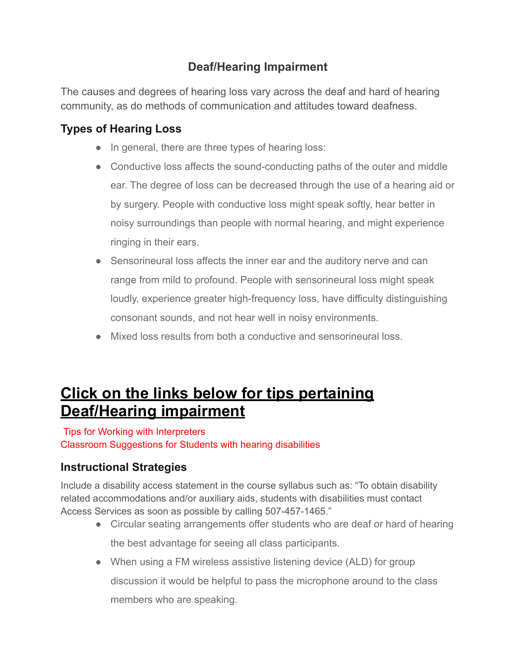## **Deaf/Hearing Impairment**

The causes and degrees of hearing loss vary across the deaf and hard of hearing community, as do methods of communication and attitudes toward deafness.

## **Types of Hearing Loss**

- In general, there are three types of hearing loss:
- Conductive loss affects the sound-conducting paths of the outer and middle ear. The degree of loss can be decreased through the use of a hearing aid or by surgery. People with conductive loss might speak softly, hear better in noisy surroundings than people with normal hearing, and might experience ringing in their ears.
- Sensorineural loss affects the inner ear and the auditory nerve and can range from mild to profound. People with sensorineural loss might speak loudly, experience greater high-frequency loss, have difficulty distinguishing consonant sounds, and not hear well in noisy environments.
- Mixed loss results from both a conductive and sensorineural loss.

# **Click on the links below for tips pertaining Deaf/Hearing impairment**

#### Tips for Working with [Interpreters](https://accessservices.smumn.edu/wp-content/uploads/2019/11/Tips-for-working-with-interpreters.pdf)

Classroom [Suggestions](https://accessservices.smumn.edu/wp-content/uploads/2019/11/Classroom-suggestions-for-students-with-hearing-disabilities.pdf) for Students with hearing disabilities

## **Instructional Strategies**

Include a disability access statement in the course syllabus such as: "To obtain disability related accommodations and/or auxiliary aids, students with disabilities must contact Access Services as soon as possible by calling 507-457-1465."

- Circular seating arrangements offer students who are deaf or hard of hearing the best advantage for seeing all class participants.
- When using a FM wireless assistive listening device (ALD) for group discussion it would be helpful to pass the microphone around to the class members who are speaking.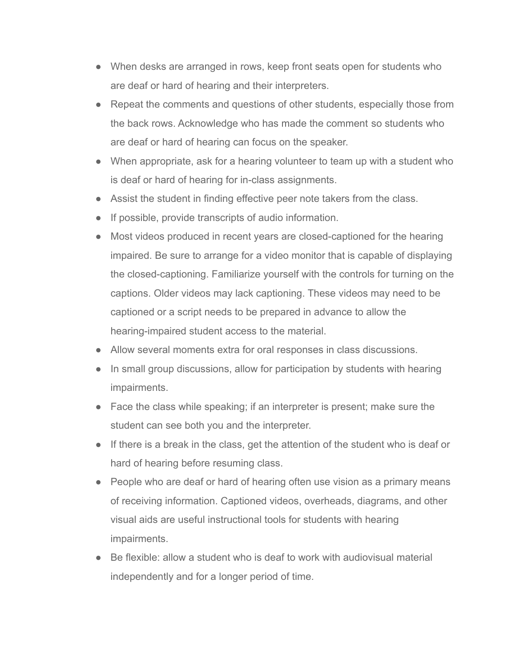- When desks are arranged in rows, keep front seats open for students who are deaf or hard of hearing and their interpreters.
- Repeat the comments and questions of other students, especially those from the back rows. Acknowledge who has made the comment so students who are deaf or hard of hearing can focus on the speaker.
- When appropriate, ask for a hearing volunteer to team up with a student who is deaf or hard of hearing for in-class assignments.
- Assist the student in finding effective peer note takers from the class.
- If possible, provide transcripts of audio information.
- Most videos produced in recent years are closed-captioned for the hearing impaired. Be sure to arrange for a video monitor that is capable of displaying the closed-captioning. Familiarize yourself with the controls for turning on the captions. Older videos may lack captioning. These videos may need to be captioned or a script needs to be prepared in advance to allow the hearing-impaired student access to the material.
- Allow several moments extra for oral responses in class discussions.
- In small group discussions, allow for participation by students with hearing impairments.
- Face the class while speaking; if an interpreter is present; make sure the student can see both you and the interpreter.
- If there is a break in the class, get the attention of the student who is deaf or hard of hearing before resuming class.
- People who are deaf or hard of hearing often use vision as a primary means of receiving information. Captioned videos, overheads, diagrams, and other visual aids are useful instructional tools for students with hearing impairments.
- Be flexible: allow a student who is deaf to work with audiovisual material independently and for a longer period of time.